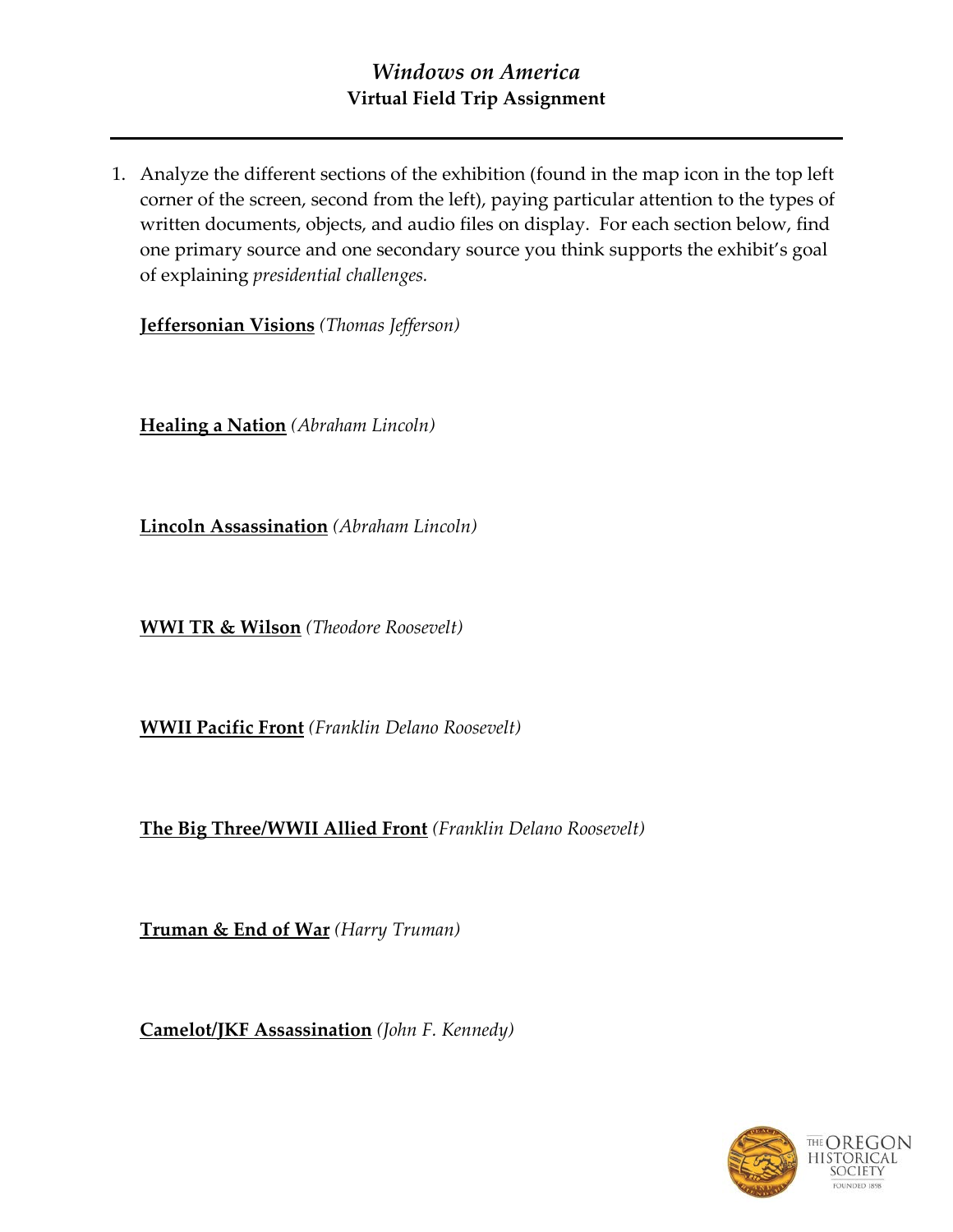1. Analyze the different sections of the exhibition (found in the map icon in the top left corner of the screen, second from the left), paying particular attention to the types of written documents, objects, and audio files on display. For each section below, find one primary source and one secondary source you think supports the exhibit's goal of explaining *presidential challenges.*

**Jeffersonian Visions** *(Thomas Jefferson)*

**Healing a Nation** *(Abraham Lincoln)*

**Lincoln Assassination** *(Abraham Lincoln)*

**WWI TR & Wilson** *(Theodore Roosevelt)*

**WWII Pacific Front** *(Franklin Delano Roosevelt)*

**The Big Three/WWII Allied Front** *(Franklin Delano Roosevelt)*

**Truman & End of War** *(Harry Truman)*

**Camelot/JKF Assassination** *(John F. Kennedy)*

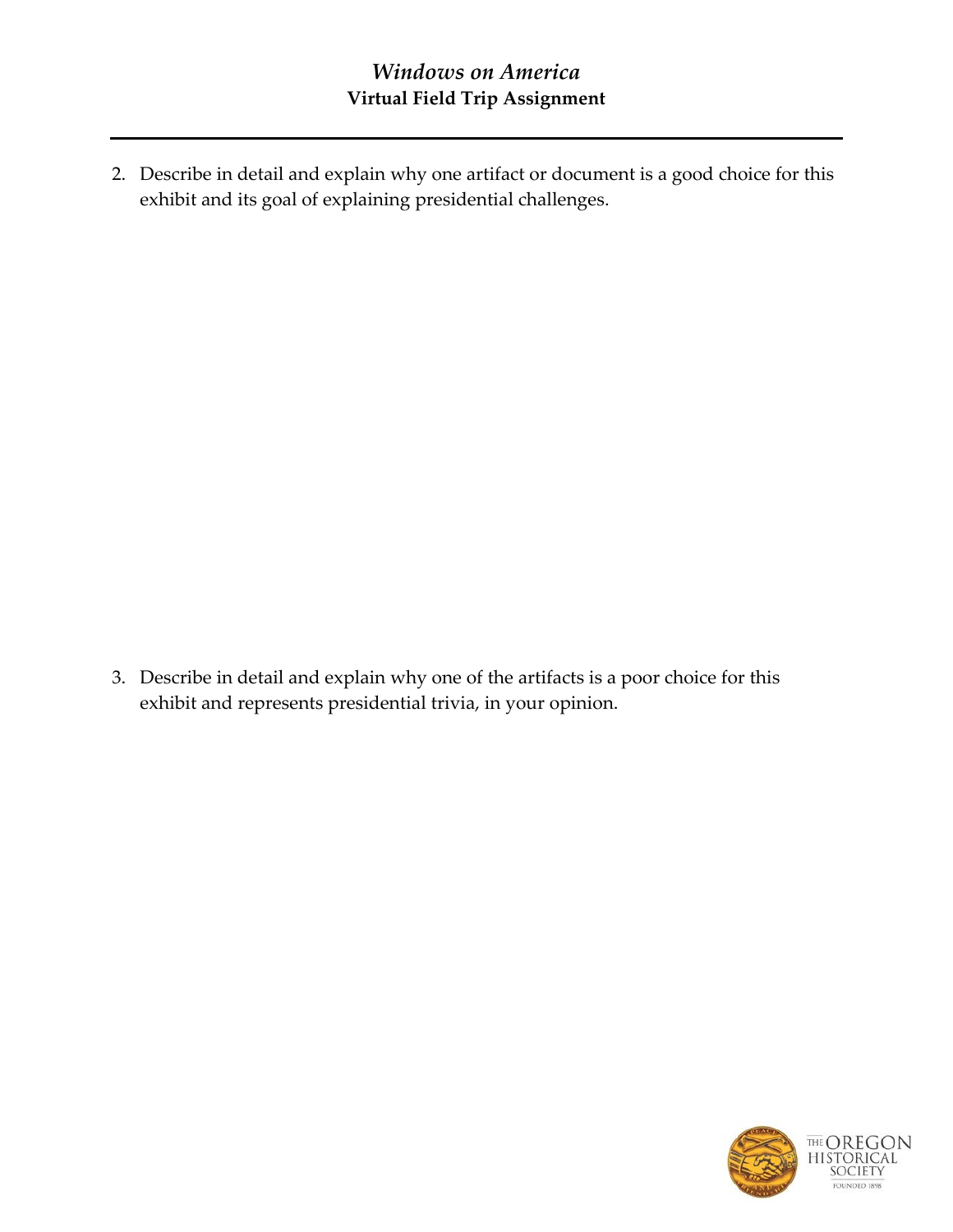2. Describe in detail and explain why one artifact or document is a good choice for this exhibit and its goal of explaining presidential challenges.

3. Describe in detail and explain why one of the artifacts is a poor choice for this exhibit and represents presidential trivia, in your opinion.